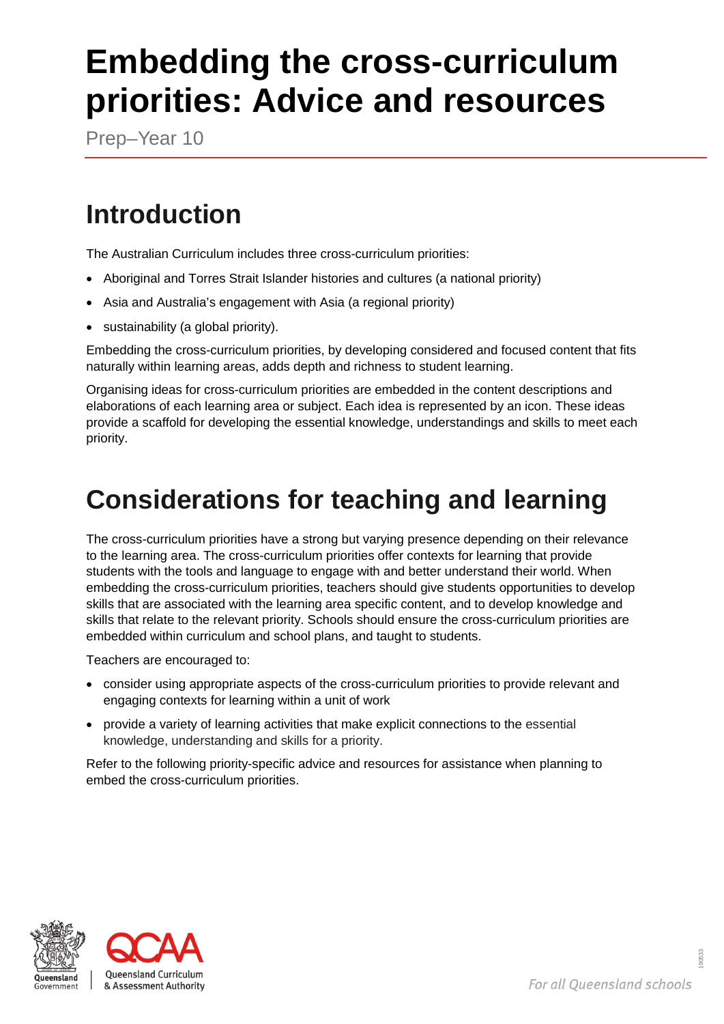# **Embedding the cross-curriculum priorities: Advice and resources**

Prep–Year 10

## **Introduction**

The Australian Curriculum includes three cross-curriculum priorities:

- Aboriginal and Torres Strait Islander histories and cultures (a national priority)
- Asia and Australia's engagement with Asia (a regional priority)
- sustainability (a global priority).

Embedding the cross-curriculum priorities, by developing considered and focused content that fits naturally within learning areas, adds depth and richness to student learning.

Organising ideas for cross-curriculum priorities are embedded in the content descriptions and elaborations of each learning area or subject. Each idea is represented by an icon. These ideas provide a scaffold for developing the essential knowledge, understandings and skills to meet each priority.

## **Considerations for teaching and learning**

The cross-curriculum priorities have a strong but varying presence depending on their relevance to the learning area. The cross-curriculum priorities offer contexts for learning that provide students with the tools and language to engage with and better understand their world. When embedding the cross-curriculum priorities, teachers should give students opportunities to develop skills that are associated with the learning area specific content, and to develop knowledge and skills that relate to the relevant priority. Schools should ensure the cross-curriculum priorities are embedded within curriculum and school plans, and taught to students.

Teachers are encouraged to:

- consider using appropriate aspects of the cross-curriculum priorities to provide relevant and engaging contexts for learning within a unit of work
- provide a variety of learning activities that make explicit connections to the essential knowledge, understanding and skills for a priority.

Refer to the following priority-specific advice and resources for assistance when planning to embed the cross-curriculum priorities.



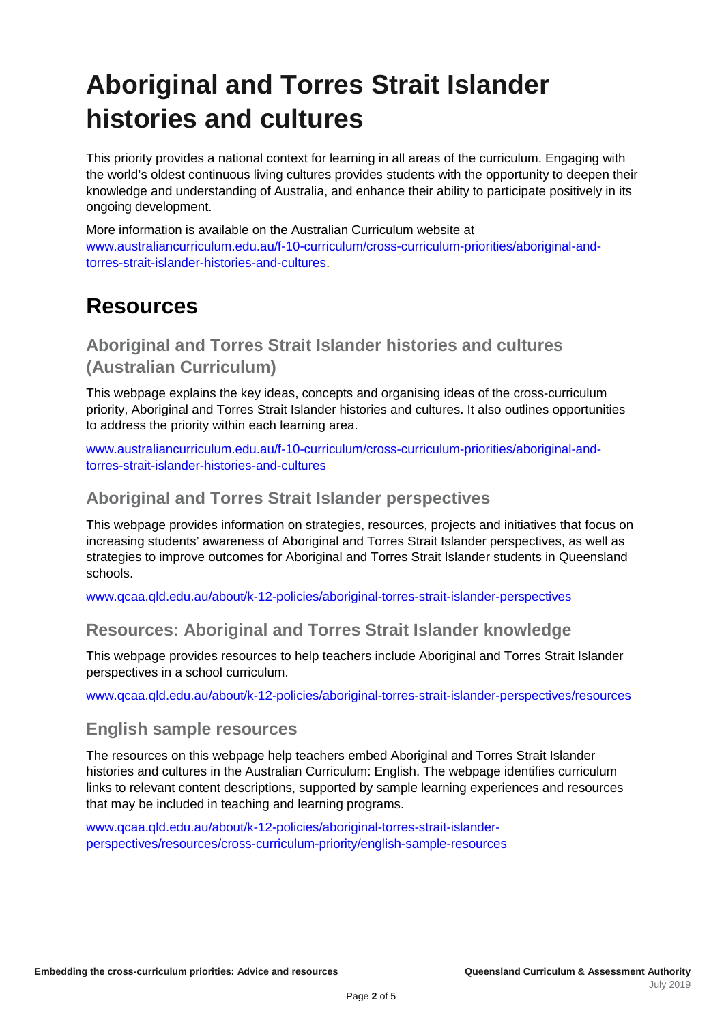## **Aboriginal and Torres Strait Islander histories and cultures**

This priority provides a national context for learning in all areas of the curriculum. Engaging with the world's oldest continuous living cultures provides students with the opportunity to deepen their knowledge and understanding of Australia, and enhance their ability to participate positively in its ongoing development.

More information is available on the Australian Curriculum website at [www.australiancurriculum.edu.au/f-10-curriculum/cross-curriculum-priorities/aboriginal-and](http://www.australiancurriculum.edu.au/f-10-curriculum/cross-curriculum-priorities/aboriginal-and-torres-strait-islander-histories-and-cultures/)[torres-strait-islander-histories-and-cultures.](http://www.australiancurriculum.edu.au/f-10-curriculum/cross-curriculum-priorities/aboriginal-and-torres-strait-islander-histories-and-cultures/)

### **Resources**

### **Aboriginal and Torres Strait Islander histories and cultures (Australian Curriculum)**

This webpage explains the key ideas, concepts and organising ideas of the cross-curriculum priority, Aboriginal and Torres Strait Islander histories and cultures. It also outlines opportunities to address the priority within each learning area.

[www.australiancurriculum.edu.au/f-10-curriculum/cross-curriculum-priorities/aboriginal-and](http://www.australiancurriculum.edu.au/f-10-curriculum/cross-curriculum-priorities/aboriginal-and-torres-strait-islander-histories-and-cultures/)[torres-strait-islander-histories-and-cultures](http://www.australiancurriculum.edu.au/f-10-curriculum/cross-curriculum-priorities/aboriginal-and-torres-strait-islander-histories-and-cultures/)

### **Aboriginal and Torres Strait Islander perspectives**

This webpage provides information on strategies, resources, projects and initiatives that focus on increasing students' awareness of Aboriginal and Torres Strait Islander perspectives, as well as strategies to improve outcomes for Aboriginal and Torres Strait Islander students in Queensland schools.

[www.qcaa.qld.edu.au/about/k-12-policies/aboriginal-torres-strait-islander-perspectives](http://www.qcaa.qld.edu.au/about/k-12-policies/aboriginal-torres-strait-islander-perspectives)

### **Resources: Aboriginal and Torres Strait Islander knowledge**

This webpage provides resources to help teachers include Aboriginal and Torres Strait Islander perspectives in a school curriculum.

[www.qcaa.qld.edu.au/about/k-12-policies/aboriginal-torres-strait-islander-perspectives/resources](http://www.qcaa.qld.edu.au/about/k-12-policies/aboriginal-torres-strait-islander-perspectives/resources)

#### **English sample resources**

The resources on this webpage help teachers embed Aboriginal and Torres Strait Islander histories and cultures in the Australian Curriculum: English. The webpage identifies curriculum links to relevant content descriptions, supported by sample learning experiences and resources that may be included in teaching and learning programs.

[www.qcaa.qld.edu.au/about/k-12-policies/aboriginal-torres-strait-islander](http://www.qcaa.qld.edu.au/about/k-12-policies/aboriginal-torres-strait-islander-perspectives/resources/cross-curriculum-priority/english-sample-resources)[perspectives/resources/cross-curriculum-priority/english-sample-resources](http://www.qcaa.qld.edu.au/about/k-12-policies/aboriginal-torres-strait-islander-perspectives/resources/cross-curriculum-priority/english-sample-resources)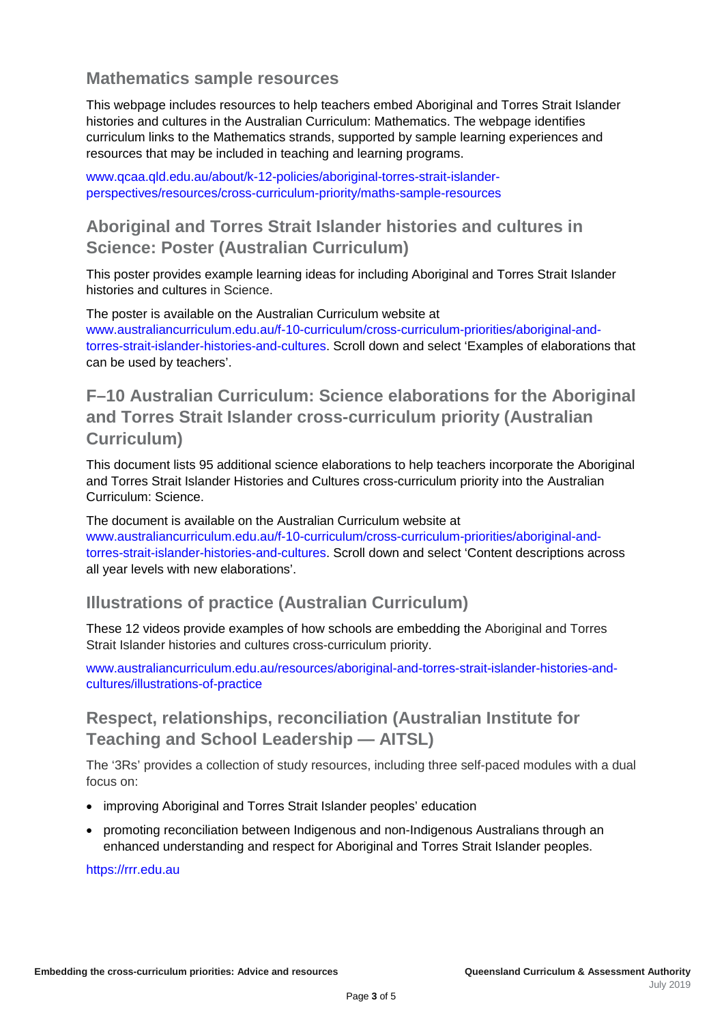### **Mathematics sample resources**

This webpage includes resources to help teachers embed Aboriginal and Torres Strait Islander histories and cultures in the Australian Curriculum: Mathematics. The webpage identifies curriculum links to the Mathematics strands, supported by sample learning experiences and resources that may be included in teaching and learning programs.

[www.qcaa.qld.edu.au/about/k-12-policies/aboriginal-torres-strait-islander](http://www.qcaa.qld.edu.au/about/k-12-policies/aboriginal-torres-strait-islander-perspectives/resources/cross-curriculum-priority/maths-sample-resources)[perspectives/resources/cross-curriculum-priority/maths-sample-resources](http://www.qcaa.qld.edu.au/about/k-12-policies/aboriginal-torres-strait-islander-perspectives/resources/cross-curriculum-priority/maths-sample-resources)

### **Aboriginal and Torres Strait Islander histories and cultures in Science: Poster (Australian Curriculum)**

This poster provides example learning ideas for including Aboriginal and Torres Strait Islander histories and cultures in Science.

The poster is available on the Australian Curriculum website at [www.australiancurriculum.edu.au/f-10-curriculum/cross-curriculum-priorities/aboriginal-and](http://www.australiancurriculum.edu.au/f-10-curriculum/cross-curriculum-priorities/aboriginal-and-torres-strait-islander-histories-and-cultures/)[torres-strait-islander-histories-and-cultures.](http://www.australiancurriculum.edu.au/f-10-curriculum/cross-curriculum-priorities/aboriginal-and-torres-strait-islander-histories-and-cultures/) Scroll down and select 'Examples of elaborations that can be used by teachers'.

### **F–10 Australian Curriculum: Science elaborations for the Aboriginal and Torres Strait Islander cross-curriculum priority (Australian Curriculum)**

This document lists 95 additional science elaborations to help teachers incorporate the Aboriginal and Torres Strait Islander Histories and Cultures cross-curriculum priority into the Australian Curriculum: Science.

The document is available on the Australian Curriculum website at [www.australiancurriculum.edu.au/f-10-curriculum/cross-curriculum-priorities/aboriginal-and](http://www.australiancurriculum.edu.au/f-10-curriculum/cross-curriculum-priorities/aboriginal-and-torres-strait-islander-histories-and-cultures/)[torres-strait-islander-histories-and-cultures.](http://www.australiancurriculum.edu.au/f-10-curriculum/cross-curriculum-priorities/aboriginal-and-torres-strait-islander-histories-and-cultures/) Scroll down and select 'Content descriptions across all year levels with new elaborations'.

### **Illustrations of practice (Australian Curriculum)**

These 12 videos provide examples of how schools are embedding the Aboriginal and Torres Strait Islander histories and cultures cross-curriculum priority.

[www.australiancurriculum.edu.au/resources/aboriginal-and-torres-strait-islander-histories-and](http://www.australiancurriculum.edu.au/resources/aboriginal-and-torres-strait-islander-histories-and-cultures/illustrations-of-practice/)[cultures/illustrations-of-practice](http://www.australiancurriculum.edu.au/resources/aboriginal-and-torres-strait-islander-histories-and-cultures/illustrations-of-practice/)

### **Respect, relationships, reconciliation (Australian Institute for Teaching and School Leadership — AITSL)**

The '3Rs' provides a collection of study resources, including three self-paced modules with a dual focus on:

- improving Aboriginal and Torres Strait Islander peoples' education
- promoting reconciliation between Indigenous and non-Indigenous Australians through an enhanced understanding and respect for Aboriginal and Torres Strait Islander peoples.

[https://rrr.edu.au](https://rrr.edu.au/)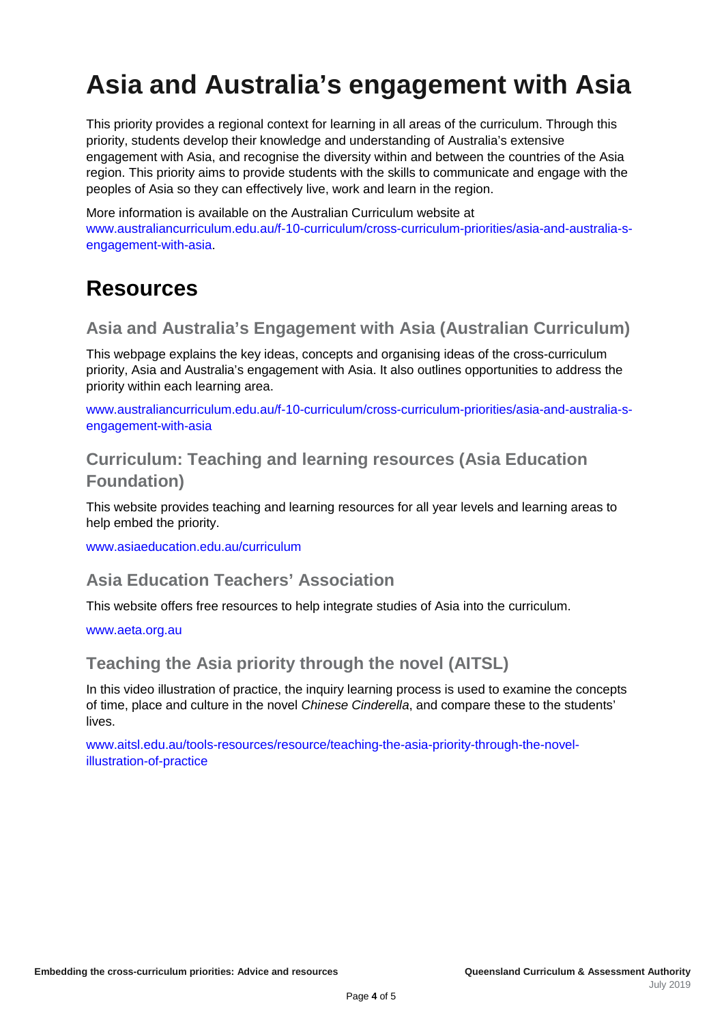## **Asia and Australia's engagement with Asia**

This priority provides a regional context for learning in all areas of the curriculum. Through this priority, students develop their knowledge and understanding of Australia's extensive engagement with Asia, and recognise the diversity within and between the countries of the Asia region. This priority aims to provide students with the skills to communicate and engage with the peoples of Asia so they can effectively live, work and learn in the region.

More information is available on the Australian Curriculum website at [www.australiancurriculum.edu.au/f-10-curriculum/cross-curriculum-priorities/asia-and-australia-s](http://www.australiancurriculum.edu.au/f-10-curriculum/cross-curriculum-priorities/asia-and-australia-s-engagement-with-asia/)[engagement-with-asia.](http://www.australiancurriculum.edu.au/f-10-curriculum/cross-curriculum-priorities/asia-and-australia-s-engagement-with-asia/)

### **Resources**

### **Asia and Australia's Engagement with Asia (Australian Curriculum)**

This webpage explains the key ideas, concepts and organising ideas of the cross-curriculum priority, Asia and Australia's engagement with Asia. It also outlines opportunities to address the priority within each learning area.

[www.australiancurriculum.edu.au/f-10-curriculum/cross-curriculum-priorities/asia-and-australia-s](http://www.australiancurriculum.edu.au/f-10-curriculum/cross-curriculum-priorities/asia-and-australia-s-engagement-with-asia/)[engagement-with-asia](http://www.australiancurriculum.edu.au/f-10-curriculum/cross-curriculum-priorities/asia-and-australia-s-engagement-with-asia/)

### **Curriculum: Teaching and learning resources (Asia Education Foundation)**

This website provides teaching and learning resources for all year levels and learning areas to help embed the priority.

[www.asiaeducation.edu.au/curriculum](http://www.asiaeducation.edu.au/curriculum)

### **Asia Education Teachers' Association**

This website offers free resources to help integrate studies of Asia into the curriculum.

[www.aeta.org.au](http://www.aeta.org.au/)

### **Teaching the Asia priority through the novel (AITSL)**

In this video illustration of practice, the inquiry learning process is used to examine the concepts of time, place and culture in the novel *Chinese Cinderella*, and compare these to the students' lives.

[www.aitsl.edu.au/tools-resources/resource/teaching-the-asia-priority-through-the-novel](http://www.aitsl.edu.au/tools-resources/resource/teaching-the-asia-priority-through-the-novel-illustration-of-practice)[illustration-of-practice](http://www.aitsl.edu.au/tools-resources/resource/teaching-the-asia-priority-through-the-novel-illustration-of-practice)